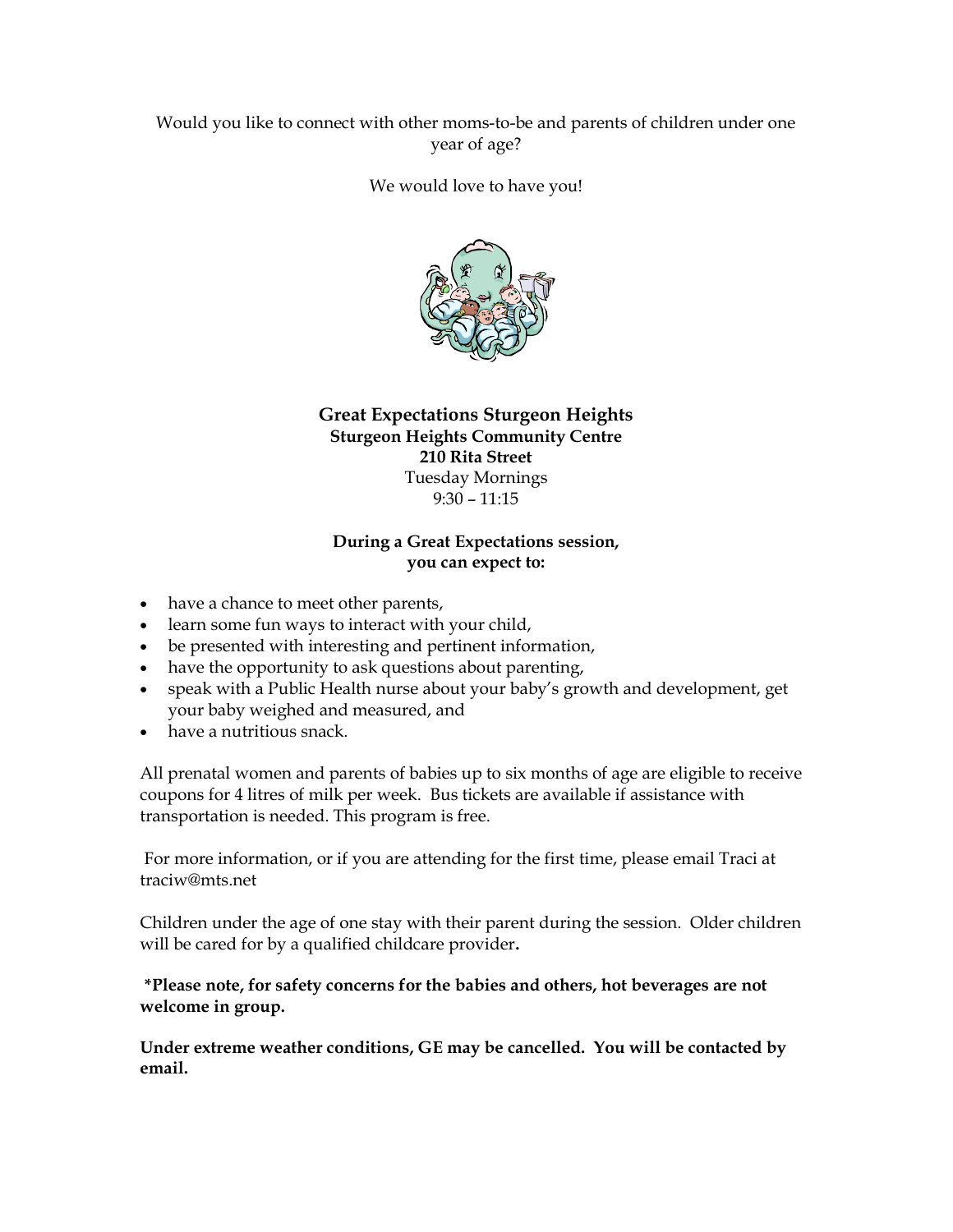## Would you like to connect with other moms-to-be and parents of children under one year of age?

#### We would love to have you!



## Great Expectations Sturgeon Heights Sturgeon Heights Community Centre 210 Rita Street Tuesday Mornings 9:30 – 11:15

#### During a Great Expectations session, you can expect to:

- have a chance to meet other parents,
- learn some fun ways to interact with your child,
- be presented with interesting and pertinent information,
- have the opportunity to ask questions about parenting,
- speak with a Public Health nurse about your baby's growth and development, get your baby weighed and measured, and
- have a nutritious snack.

All prenatal women and parents of babies up to six months of age are eligible to receive coupons for 4 litres of milk per week. Bus tickets are available if assistance with transportation is needed. This program is free.

 For more information, or if you are attending for the first time, please email Traci at traciw@mts.net

Children under the age of one stay with their parent during the session. Older children will be cared for by a qualified childcare provider.

### \*Please note, for safety concerns for the babies and others, hot beverages are not welcome in group.

Under extreme weather conditions, GE may be cancelled. You will be contacted by email.